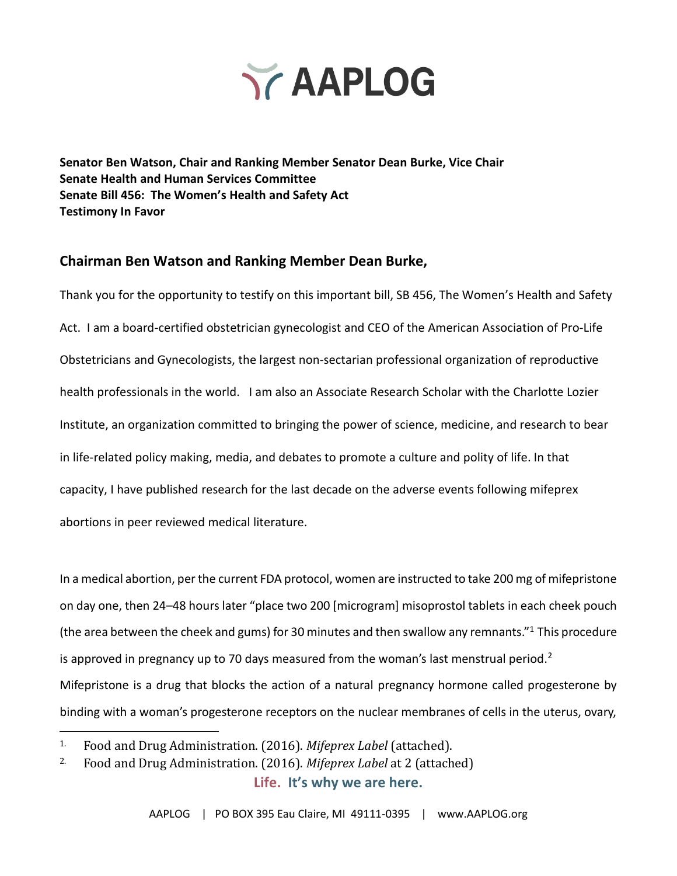

**Senator Ben Watson, Chair and Ranking Member Senator Dean Burke, Vice Chair Senate Health and Human Services Committee Senate Bill 456: The Women's Health and Safety Act Testimony In Favor**

### **Chairman Ben Watson and Ranking Member Dean Burke,**

Thank you for the opportunity to testify on this important bill, SB 456, The Women's Health and Safety Act. I am a board-certified obstetrician gynecologist and CEO of the American Association of Pro-Life Obstetricians and Gynecologists, the largest non-sectarian professional organization of reproductive health professionals in the world. I am also an Associate Research Scholar with the Charlotte Lozier Institute, an organization committed to bringing the power of science, medicine, and research to bear in life-related policy making, media, and debates to promote a culture and polity of life. In that capacity, I have published research for the last decade on the adverse events following mifeprex abortions in peer reviewed medical literature.

In a medical abortion, per the current FDA protocol, women are instructed to take 200 mg of mifepristone on day one, then 24–48 hours later "place two 200 [microgram] misoprostol tablets in each cheek pouch (the area between the cheek and gums) for 30 minutes and then swallow any remnants."<sup>1</sup> This procedure is approved in pregnancy up to 70 days measured from the woman's last menstrual period.<sup>2</sup> Mifepristone is a drug that blocks the action of a natural pregnancy hormone called progesterone by binding with a woman's progesterone receptors on the nuclear membranes of cells in the uterus, ovary,

<sup>1</sup>. Food and Drug Administration. (2016). *Mifeprex Label* (attached).

**Life. It's why we are here.** <sup>2</sup>. Food and Drug Administration. (2016). *Mifeprex Label* at 2 (attached)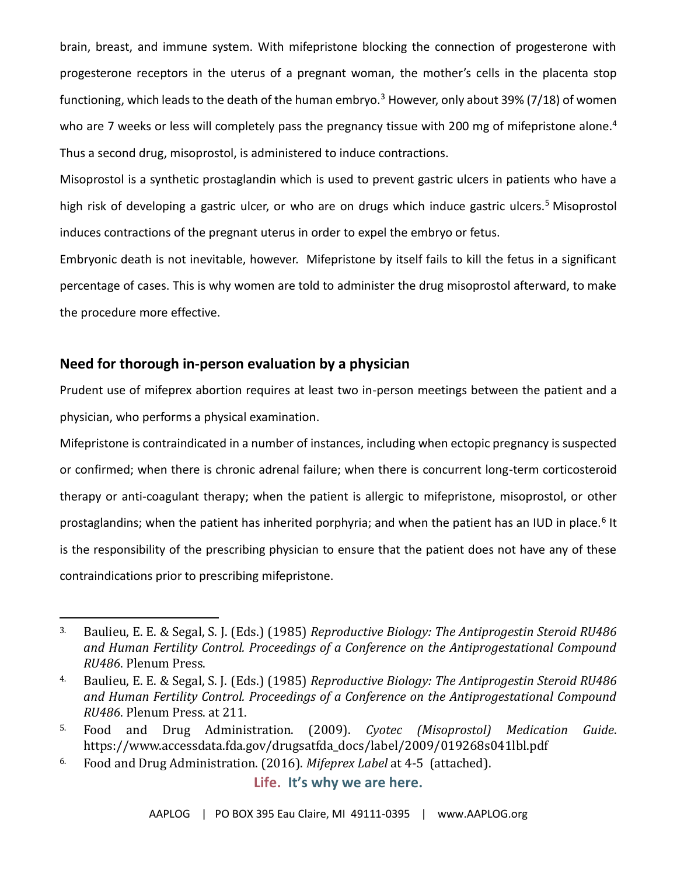brain, breast, and immune system. With mifepristone blocking the connection of progesterone with progesterone receptors in the uterus of a pregnant woman, the mother's cells in the placenta stop functioning, which leads to the death of the human embryo.<sup>3</sup> However, only about 39% (7/18) of women who are 7 weeks or less will completely pass the pregnancy tissue with 200 mg of mifepristone alone.<sup>4</sup> Thus a second drug, misoprostol, is administered to induce contractions.

Misoprostol is a synthetic prostaglandin which is used to prevent gastric ulcers in patients who have a high risk of developing a gastric ulcer, or who are on drugs which induce gastric ulcers.<sup>5</sup> Misoprostol induces contractions of the pregnant uterus in order to expel the embryo or fetus.

Embryonic death is not inevitable, however. Mifepristone by itself fails to kill the fetus in a significant percentage of cases. This is why women are told to administer the drug misoprostol afterward, to make the procedure more effective.

### **Need for thorough in-person evaluation by a physician**

Prudent use of mifeprex abortion requires at least two in-person meetings between the patient and a physician, who performs a physical examination.

Mifepristone is contraindicated in a number of instances, including when ectopic pregnancy is suspected or confirmed; when there is chronic adrenal failure; when there is concurrent long-term corticosteroid therapy or anti-coagulant therapy; when the patient is allergic to mifepristone, misoprostol, or other prostaglandins; when the patient has inherited porphyria; and when the patient has an IUD in place.<sup>6</sup> It is the responsibility of the prescribing physician to ensure that the patient does not have any of these contraindications prior to prescribing mifepristone.

<sup>3</sup>. Baulieu, E. E. & Segal, S. J. (Eds.) (1985) *Reproductive Biology: The Antiprogestin Steroid RU486 and Human Fertility Control. Proceedings of a Conference on the Antiprogestational Compound RU486*. Plenum Press.

<sup>4</sup>. Baulieu, E. E. & Segal, S. J. (Eds.) (1985) *Reproductive Biology: The Antiprogestin Steroid RU486 and Human Fertility Control. Proceedings of a Conference on the Antiprogestational Compound RU486*. Plenum Press. at 211.

<sup>5</sup>. Food and Drug Administration. (2009). *Cyotec (Misoprostol) Medication Guide*. https://www.accessdata.fda.gov/drugsatfda\_docs/label/2009/019268s041lbl.pdf

<sup>6</sup>. Food and Drug Administration. (2016). *Mifeprex Label* at 4-5 (attached).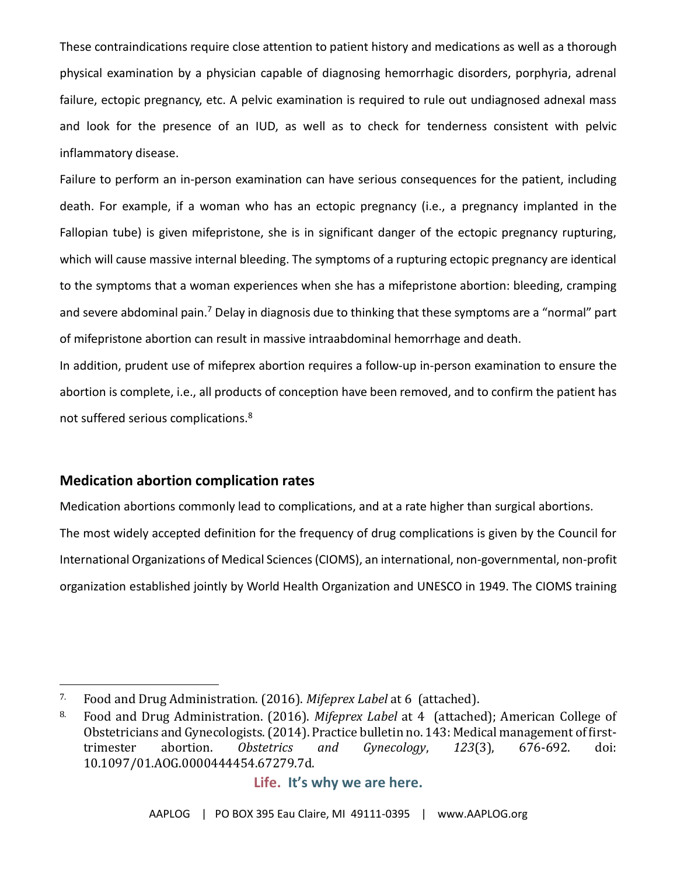These contraindications require close attention to patient history and medications as well as a thorough physical examination by a physician capable of diagnosing hemorrhagic disorders, porphyria, adrenal failure, ectopic pregnancy, etc. A pelvic examination is required to rule out undiagnosed adnexal mass and look for the presence of an IUD, as well as to check for tenderness consistent with pelvic inflammatory disease.

Failure to perform an in-person examination can have serious consequences for the patient, including death. For example, if a woman who has an ectopic pregnancy (i.e., a pregnancy implanted in the Fallopian tube) is given mifepristone, she is in significant danger of the ectopic pregnancy rupturing, which will cause massive internal bleeding. The symptoms of a rupturing ectopic pregnancy are identical to the symptoms that a woman experiences when she has a mifepristone abortion: bleeding, cramping and severe abdominal pain.<sup>7</sup> Delay in diagnosis due to thinking that these symptoms are a "normal" part of mifepristone abortion can result in massive intraabdominal hemorrhage and death.

In addition, prudent use of mifeprex abortion requires a follow-up in-person examination to ensure the abortion is complete, i.e., all products of conception have been removed, and to confirm the patient has not suffered serious complications.<sup>8</sup>

### **Medication abortion complication rates**

Medication abortions commonly lead to complications, and at a rate higher than surgical abortions. The most widely accepted definition for the frequency of drug complications is given by the Council for International Organizations of Medical Sciences (CIOMS), an international, non-governmental, non-profit organization established jointly by World Health Organization and UNESCO in 1949. The CIOMS training

<sup>7</sup>. Food and Drug Administration. (2016). *Mifeprex Label* at 6 (attached).

<sup>8</sup>. Food and Drug Administration. (2016). *Mifeprex Label* at 4 (attached); American College of Obstetricians and Gynecologists. (2014). Practice bulletin no. 143: Medical management of firsttrimester abortion. *Obstetrics and Gynecology*, *123*(3), 676-692. doi: 10.1097/01.AOG.0000444454.67279.7d.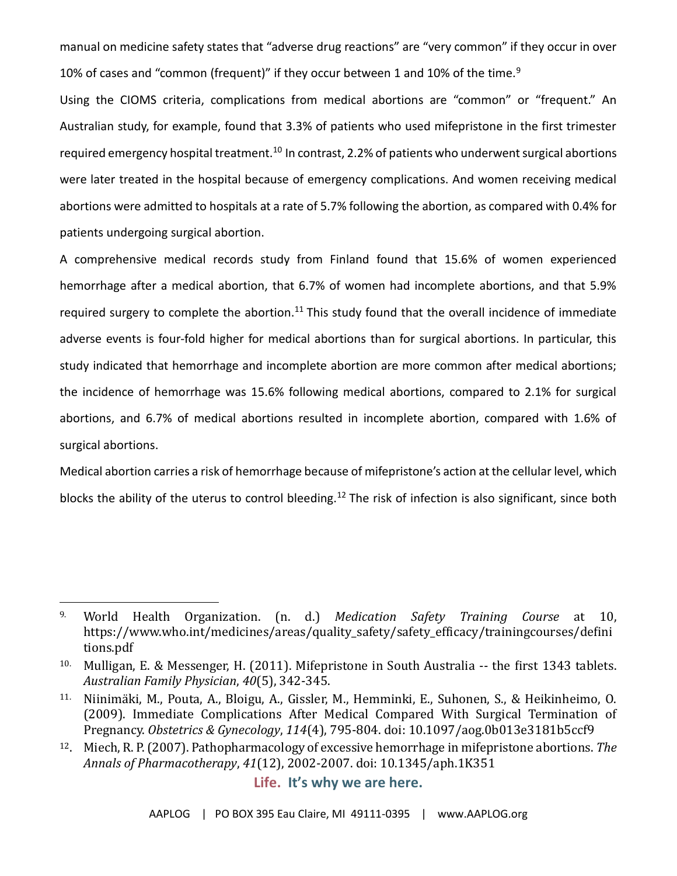manual on medicine safety states that "adverse drug reactions" are "very common" if they occur in over 10% of cases and "common (frequent)" if they occur between 1 and 10% of the time.<sup>9</sup>

Using the CIOMS criteria, complications from medical abortions are "common" or "frequent." An Australian study, for example, found that 3.3% of patients who used mifepristone in the first trimester required emergency hospital treatment.<sup>10</sup> In contrast, 2.2% of patients who underwent surgical abortions were later treated in the hospital because of emergency complications. And women receiving medical abortions were admitted to hospitals at a rate of 5.7% following the abortion, as compared with 0.4% for patients undergoing surgical abortion.

A comprehensive medical records study from Finland found that 15.6% of women experienced hemorrhage after a medical abortion, that 6.7% of women had incomplete abortions, and that 5.9% required surgery to complete the abortion.<sup>11</sup> This study found that the overall incidence of immediate adverse events is four-fold higher for medical abortions than for surgical abortions. In particular, this study indicated that hemorrhage and incomplete abortion are more common after medical abortions; the incidence of hemorrhage was 15.6% following medical abortions, compared to 2.1% for surgical abortions, and 6.7% of medical abortions resulted in incomplete abortion, compared with 1.6% of surgical abortions.

Medical abortion carries a risk of hemorrhage because of mifepristone's action at the cellular level, which blocks the ability of the uterus to control bleeding.<sup>12</sup> The risk of infection is also significant, since both

<sup>9</sup>. World Health Organization. (n. d.) *Medication Safety Training Course* at 10, https://www.who.int/medicines/areas/quality\_safety/safety\_efficacy/trainingcourses/defini tions.pdf

<sup>10</sup>. Mulligan, E. & Messenger, H. (2011). Mifepristone in South Australia -- the first 1343 tablets. *Australian Family Physician*, *40*(5), 342-345.

<sup>&</sup>lt;sup>11.</sup> Niinimäki, M., Pouta, A., Bloigu, A., Gissler, M., Hemminki, E., Suhonen, S., & Heikinheimo, O. (2009). Immediate Complications After Medical Compared With Surgical Termination of Pregnancy. *Obstetrics & Gynecology*, *114*(4), 795-804. doi: 10.1097/aog.0b013e3181b5ccf9

<sup>12</sup>. Miech, R. P. (2007). Pathopharmacology of excessive hemorrhage in mifepristone abortions. *The Annals of Pharmacotherapy*, *41*(12), 2002-2007. doi: 10.1345/aph.1K351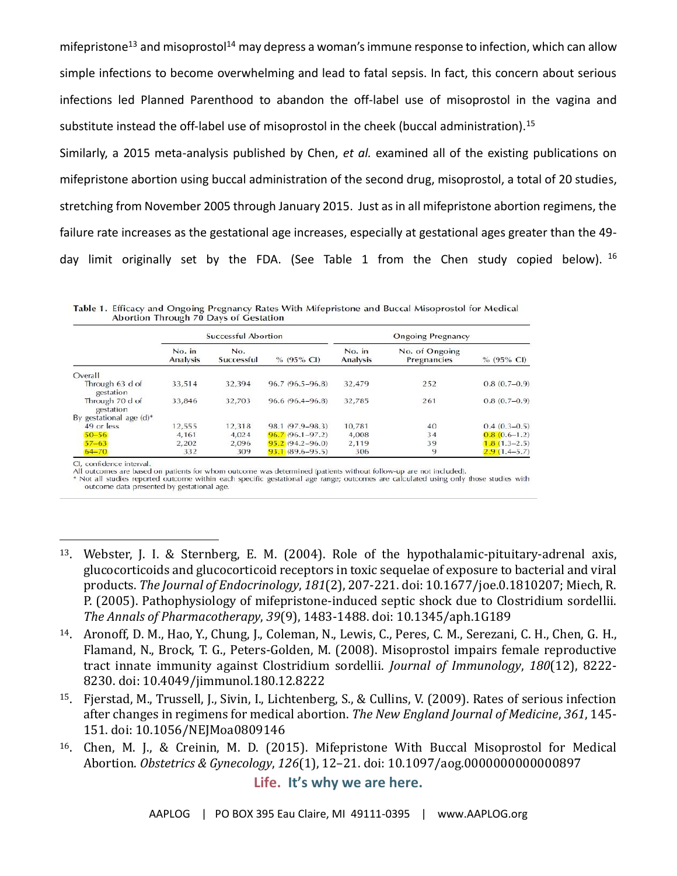mifepristone<sup>13</sup> and misoprostol<sup>14</sup> may depress a woman's immune response to infection, which can allow simple infections to become overwhelming and lead to fatal sepsis. In fact, this concern about serious infections led Planned Parenthood to abandon the off-label use of misoprostol in the vagina and substitute instead the off-label use of misoprostol in the cheek (buccal administration).<sup>15</sup>

Similarly, a 2015 meta-analysis published by Chen, *et al.* examined all of the existing publications on mifepristone abortion using buccal administration of the second drug, misoprostol, a total of 20 studies, stretching from November 2005 through January 2015. Just as in all mifepristone abortion regimens, the failure rate increases as the gestational age increases, especially at gestational ages greater than the 49 day limit originally set by the FDA. (See Table 1 from the Chen study copied below). <sup>16</sup>

|                              | <b>Successful Abortion</b> |                   |                       | <b>Ongoing Pregnancy</b>  |                               |                  |
|------------------------------|----------------------------|-------------------|-----------------------|---------------------------|-------------------------------|------------------|
|                              | No. in<br><b>Analysis</b>  | No.<br>Successful | $% (95\% \text{ Cl})$ | No. in<br><b>Analysis</b> | No. of Ongoing<br>Pregnancies | $% (95\% CI)$    |
| Overall                      |                            |                   |                       |                           |                               |                  |
| Through 63 d of<br>gestation | 33,514                     | 32.394            | 96.7 (96.5-96.8)      | 32,479                    | 252                           | $0.8(0.7-0.9)$   |
| Through 70 d of<br>gestation | 33,846                     | 32.703            | $96.6(96.4 - 96.8)$   | 32,785                    | 261                           | $0.8(0.7-0.9)$   |
| By gestational age $(d)^*$   |                            |                   |                       |                           |                               |                  |
| 49 or less                   | 12,555                     | 12.318            | 98.1 (97.9–98.3)      | 10.781                    | 40                            | $0.4(0.3-0.5)$   |
| $50 - 56$                    | 4.161                      | 4.024             | $96.7(96.1 - 97.2)$   | 4,008                     | 34                            | $0.8(0.6-1.2)$   |
| $57 - 63$                    | 2.202                      | 2.096             | $95.2(94.2 - 96.0)$   | 2.119                     | 39                            | $1,8(1,3-2,5)$   |
| $64 - 70$                    | 332                        | 309               | $93.1(89.6 - 95.5)$   | 306                       | 9                             | $2.9(1.4 - 5.7)$ |

Table 1. Efficacy and Ongoing Pregnancy Rates With Mifepristone and Buccal Misoprostol for Medical Abortion Through 70 Days of Gestation

CI, confidence interval.<br>All outcomes are based on patients for whom outcome was determined (patients without follow-up are not included).

\* Not all studies reported outcome within each specific gestational age range; outcomes are calculated using only those studies with outcome data presented by gestational age.

- <sup>13</sup>. Webster, J. I. & Sternberg, E. M. (2004). Role of the hypothalamic-pituitary-adrenal axis, glucocorticoids and glucocorticoid receptors in toxic sequelae of exposure to bacterial and viral products. *The Journal of Endocrinology*, *181*(2), 207-221. doi: 10.1677/joe.0.1810207; Miech, R. P. (2005). Pathophysiology of mifepristone-induced septic shock due to Clostridium sordellii. *The Annals of Pharmacotherapy*, *39*(9), 1483-1488. doi: 10.1345/aph.1G189
- <sup>14</sup>. Aronoff, D. M., Hao, Y., Chung, J., Coleman, N., Lewis, C., Peres, C. M., Serezani, C. H., Chen, G. H., Flamand, N., Brock, T. G., Peters-Golden, M. (2008). Misoprostol impairs female reproductive tract innate immunity against Clostridium sordellii. *Journal of Immunology*, *180*(12), 8222- 8230. doi: 10.4049/jimmunol.180.12.8222
- <sup>15</sup>. Fjerstad, M., Trussell, J., Sivin, I., Lichtenberg, S., & Cullins, V. (2009). Rates of serious infection after changes in regimens for medical abortion. *The New England Journal of Medicine*, *361*, 145- 151. doi: 10.1056/NEJMoa0809146
- <sup>16</sup>. Chen, M. J., & Creinin, M. D. (2015). Mifepristone With Buccal Misoprostol for Medical Abortion. *Obstetrics & Gynecology*, *126*(1), 12–21. doi: 10.1097/aog.0000000000000897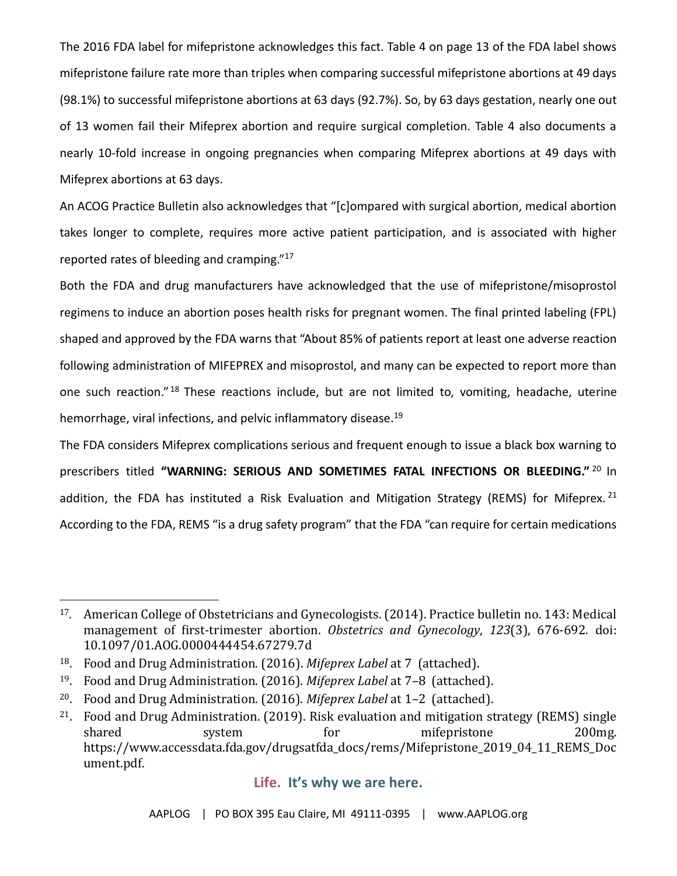The 2016 FDA label for mifepristone acknowledges this fact. Table 4 on page 13 of the FDA label shows mifepristone failure rate more than triples when comparing successful mifepristone abortions at 49 days (98.1%) to successful mifepristone abortions at 63 days (92.7%). So, by 63 days gestation, nearly one out of 13 women fail their Mifeprex abortion and require surgical completion. Table 4 also documents a nearly 10-fold increase in ongoing pregnancies when comparing Mifeprex abortions at 49 days with Mifeprex abortions at 63 days.

An ACOG Practice Bulletin also acknowledges that "[c]ompared with surgical abortion, medical abortion takes longer to complete, requires more active patient participation, and is associated with higher reported rates of bleeding and cramping."<sup>17</sup>

Both the FDA and drug manufacturers have acknowledged that the use of mifepristone/misoprostol regimens to induce an abortion poses health risks for pregnant women. The final printed labeling (FPL) shaped and approved by the FDA warns that "About 85% of patients report at least one adverse reaction following administration of MIFEPREX and misoprostol, and many can be expected to report more than one such reaction."<sup>18</sup> These reactions include, but are not limited to, vomiting, headache, uterine hemorrhage, viral infections, and pelvic inflammatory disease.<sup>19</sup>

The FDA considers Mifeprex complications serious and frequent enough to issue a black box warning to prescribers titled **"WARNING: SERIOUS AND SOMETIMES FATAL INFECTIONS OR BLEEDING."** <sup>20</sup> In addition, the FDA has instituted a Risk Evaluation and Mitigation Strategy (REMS) for Mifeprex.  $21$ According to the FDA, REMS "is a drug safety program" that the FDA "can require for certain medications

<sup>17</sup>*.* American College of Obstetricians and Gynecologists. (2014). Practice bulletin no. 143: Medical management of first-trimester abortion. *Obstetrics and Gynecology*, *123*(3), 676-692. doi: 10.1097/01.AOG.0000444454.67279.7d

<sup>18</sup>. Food and Drug Administration. (2016). *Mifeprex Label* at 7 (attached).

<sup>19</sup>. Food and Drug Administration. (2016). *Mifeprex Label* at 7–8 (attached).

<sup>20</sup>. Food and Drug Administration. (2016). *Mifeprex Label* at 1–2 (attached).

<sup>21</sup>. Food and Drug Administration. (2019). Risk evaluation and mitigation strategy (REMS) single shared system for mifepristone 200mg. https://www.accessdata.fda.gov/drugsatfda\_docs/rems/Mifepristone\_2019\_04\_11\_REMS\_Doc ument.pdf.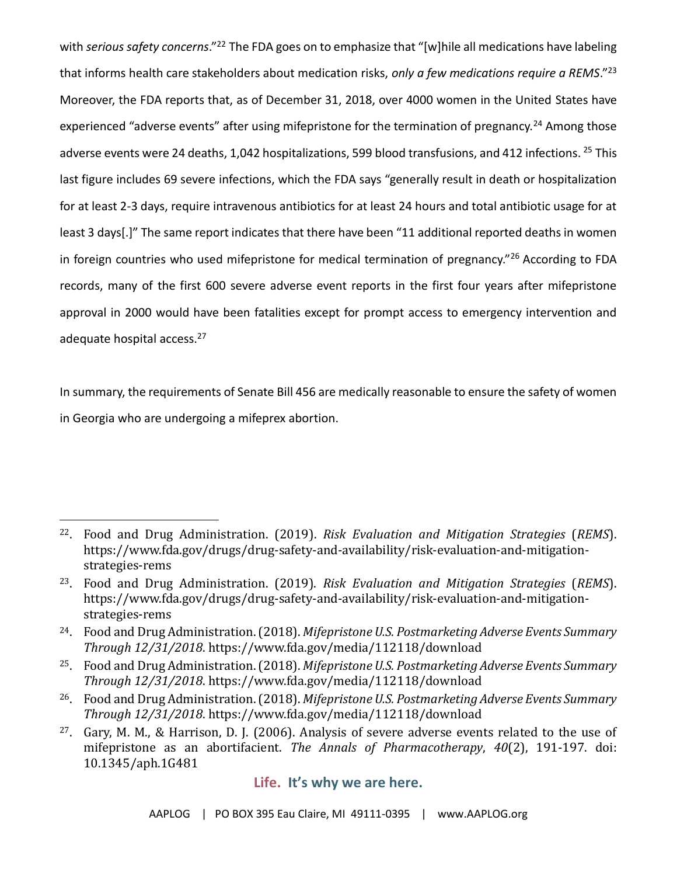with *serious safety concerns*."<sup>22</sup> The FDA goes on to emphasize that "[w]hile all medications have labeling that informs health care stakeholders about medication risks, *only a few medications require a REMS*."<sup>23</sup> Moreover, the FDA reports that, as of December 31, 2018, over 4000 women in the United States have experienced "adverse events" after using mifepristone for the termination of pregnancy.<sup>24</sup> Among those adverse events were 24 deaths, 1,042 hospitalizations, 599 blood transfusions, and 412 infections. <sup>25</sup> This last figure includes 69 severe infections, which the FDA says "generally result in death or hospitalization for at least 2-3 days, require intravenous antibiotics for at least 24 hours and total antibiotic usage for at least 3 days[.]" The same report indicates that there have been "11 additional reported deaths in women in foreign countries who used mifepristone for medical termination of pregnancy."<sup>26</sup> According to FDA records, many of the first 600 severe adverse event reports in the first four years after mifepristone approval in 2000 would have been fatalities except for prompt access to emergency intervention and adequate hospital access.<sup>27</sup>

In summary, the requirements of Senate Bill 456 are medically reasonable to ensure the safety of women in Georgia who are undergoing a mifeprex abortion.

<sup>22</sup>. Food and Drug Administration. (2019). *Risk Evaluation and Mitigation Strategies* (*REMS*). https://www.fda.gov/drugs/drug-safety-and-availability/risk-evaluation-and-mitigationstrategies-rems

<sup>23</sup>. Food and Drug Administration. (2019). *Risk Evaluation and Mitigation Strategies* (*REMS*). https://www.fda.gov/drugs/drug-safety-and-availability/risk-evaluation-and-mitigationstrategies-rems

<sup>24</sup>. Food and Drug Administration. (2018). *Mifepristone U.S. Postmarketing Adverse Events Summary Through 12/31/2018*. https://www.fda.gov/media/112118/download

<sup>25</sup>. Food and Drug Administration. (2018). *Mifepristone U.S. Postmarketing Adverse Events Summary Through 12/31/2018*. https://www.fda.gov/media/112118/download

<sup>26</sup>. Food and Drug Administration. (2018). *Mifepristone U.S. Postmarketing Adverse Events Summary Through 12/31/2018*. https://www.fda.gov/media/112118/download

<sup>27</sup>. Gary, M. M., & Harrison, D. J. (2006). Analysis of severe adverse events related to the use of mifepristone as an abortifacient. *The Annals of Pharmacotherapy*, *40*(2), 191-197. doi: 10.1345/aph.1G481